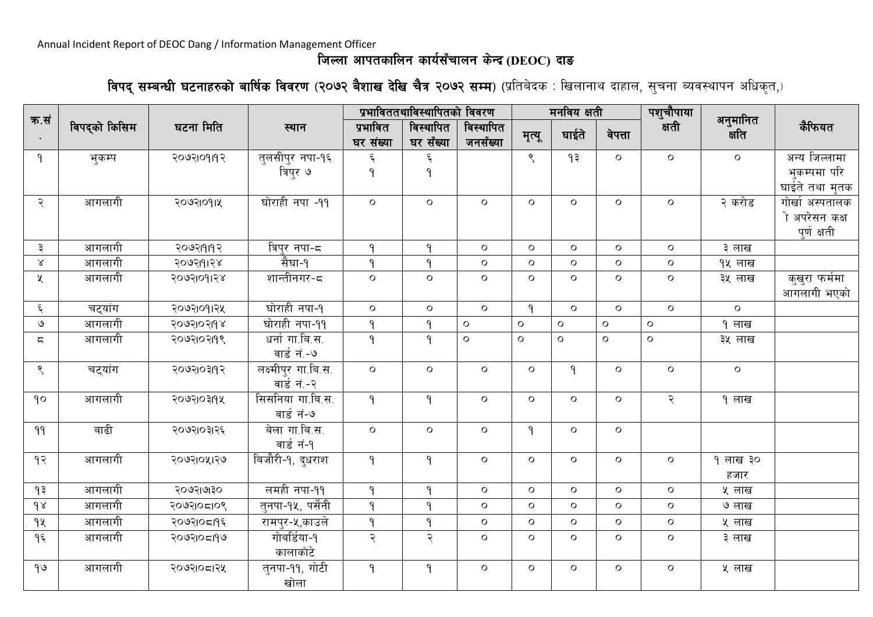## **lhNnf cfktsflng sfo{;Frfng s]Gb|(DEOC) bfª**

**विपद् सम्बन्धी घटनाहरुको बार्षिक विवरण (२०७२ बैशाख देखि चैत्र २०७२ सम्म) (प्रतिबेदक : खिलानाथ दाहाल, सुचना ब्यवस्थापन अधिकृत,)** 

|                          |               |            |                     |                       | प्रभाविततथाविस्थापितको विवरण |                       |               | मनविय क्षती  |              | पशुचौपाया<br>क्षती |                   |                 |
|--------------------------|---------------|------------|---------------------|-----------------------|------------------------------|-----------------------|---------------|--------------|--------------|--------------------|-------------------|-----------------|
| क.सं                     | विपद्को किसिम | घटना मिति  | स्थान               | प्रभावित<br>घर संख्या | विस्थापित<br>घर सँख्या       | विस्थापित<br>जनसँख्या | मृत्यू        | घाईते        | वेपत्ता      |                    | अनुमानित<br>क्षति | कैफियत          |
| ۹                        | भुकम्प        | २०७२१०१११२ | तुलसीपुर नपा-१६     | ६                     | ६                            |                       | $\mathcal{S}$ | ۹₹           | $\circ$      | $\mathsf{o}$       | $\circ$           | ञन्य जिल्लामा   |
|                          |               |            | विप्र ७             | ۹                     | ۹                            |                       |               |              |              |                    |                   | भुकम्पमा परि    |
|                          |               |            |                     |                       |                              |                       |               |              |              |                    |                   | घाईते तथा मृतक  |
| २                        | आगलागी        | २०७२१०११५  | घोराही नपा -११      | $\mathsf{o}$          | $\mathsf{o}$                 | $\mathsf{o}$          | $\circ$       | $\circ$      | $\mathsf{o}$ | $\mathsf{O}$       | २ करोड            | गोर्खा अस्पतालक |
|                          |               |            |                     |                       |                              |                       |               |              |              |                    |                   | ो अपरेसन कक्ष   |
|                          |               |            |                     |                       |                              |                       |               |              |              |                    |                   | पुर्ण क्षती     |
| ३                        | आगलागी        | २०७२।१११२  | त्रिप्र नपा-८       | ۹                     | $\mathsf{P}$                 | $\mathsf{o}$          | $\circ$       | $\circ$      | $\mathsf{o}$ | $\circ$            | ३ लाख             |                 |
| $\propto$                | आगलागी        | २०७२191२४  | सैघा-१              | $\mathsf{P}$          | $\mathsf{P}$                 | $\mathsf{o}$          | $\circ$       | $\circ$      | $\mathsf{o}$ | $\circ$            | १५ लाख            |                 |
| K                        | आगलागी        | २०७२१०११२४ | शान्तीनगर-८         | $\circ$               | $\circ$                      | $\circ$               | $\circ$       | $\circ$      | $\circ$      | $\mathsf{O}$       | ३५ लाख            | कुखुरा फर्ममा   |
|                          |               |            |                     |                       |                              |                       |               |              |              |                    |                   | आगलागी भएको     |
| $\boldsymbol{\xi}$       | चट्यांग       | २०७२१०११२५ | घोराही नपा-१        | $\circ$               | $\mathsf{o}$                 | $\circ$               | $\mathsf{P}$  | $\circ$      | $\circ$      | $\mathsf{o}$       | $\circ$           |                 |
| $\mathcal{O}$            | आगलागी        | २०७२१०२११४ | घोराही नपा-११       | $\mathsf{P}$          | ٩                            | $\circ$               | $\mathsf{o}$  | $\circ$      | $\circ$      | $\mathsf{o}$       | १ लाख             |                 |
| $\overline{\phantom{a}}$ | आगलागी        | २०७२१०२११९ | धर्नागा.बि.स.       | $\mathsf{P}$          | $\mathsf{P}$                 | $\mathsf{o}$          | $\circ$       | $\mathsf{o}$ | $\mathbf O$  | $\mathsf{o}$       | ३५ लाख            |                 |
|                          |               |            | वार्ड नं.-७         |                       |                              |                       |               |              |              |                    |                   |                 |
| $\zeta$                  | चट्यांग       | २०७२१०३११२ | लक्ष्मीपुर गा.बि.स. | $\circ$               | $\circ$                      | $\circ$               | $\circ$       | $\mathsf{P}$ | $\circ$      | $\mathsf{o}$       | $\circ$           |                 |
|                          |               |            | वार्ड नं.-२         |                       |                              |                       |               |              |              |                    |                   |                 |
| 90                       | आगलागी        | २०७२१०३११५ | सिसनिया गा.बि.स.    | $\mathsf{P}$          | $\mathsf{P}$                 | $\circ$               | $\circ$       | $\circ$      | $\circ$      | २                  | १ लाख             |                 |
|                          |               |            | वार्ड नं-७          |                       |                              |                       |               |              |              |                    |                   |                 |
| 99                       | बाढी          | २०७२।०३।२६ | बेला गा.बि.स.       | $\mathsf{o}$          | $\mathsf{o}$                 | $\mathsf{o}$          | $\mathsf{P}$  | $\circ$      | $\mathsf{o}$ |                    |                   |                 |
|                          |               |            | वार्ड नं-१          |                       |                              |                       |               |              |              |                    |                   |                 |
| १२                       | आगलागी        | २०७२१०५१२७ | बिजौरी-१, दुधराश    | $\mathsf{P}$          | $\mathsf{P}$                 | $\circ$               | $\circ$       | $\circ$      | $\circ$      | $\circ$            | १ लाख ३०          |                 |
|                          |               |            |                     |                       |                              |                       |               |              |              |                    | हजार              |                 |
| १३                       | आगलागी        | २०७२।७१०   | लमही नपा-११         | $\mathsf{P}$          | ۹                            | $\mathsf{o}$          | $\circ$       | $\circ$      | $\mathsf{o}$ | $\mathsf{o}$       | ५ लाख             |                 |
| $\delta$                 | आगलागी        | २०७२१०८१०९ | तुनपा-१५, पर्सेनी   | $\mathsf{P}$          | ٩                            | $\circ$               | $\circ$       | $\circ$      | $\mathsf{o}$ | $\mathsf{o}$       | ७ लाख             |                 |
| qx                       | आगलागी        | २०७२१०८११६ | रामपुर-५,काउले      | $\mathsf{P}$          | ٩                            | $\mathsf{o}$          | $\circ$       | $\circ$      | $\mathsf{o}$ | $\mathsf{o}$       | ५ लाख             |                 |
| $9\xi$                   | आगलागी        | २०७२१०८१९७ | गोर्बार्डया-१       | २                     | २                            | $\circ$               | $\circ$       | $\circ$      | $\circ$      | $\circ$            | ३ लाख             |                 |
|                          |               |            | कालाकाँटे           |                       |                              |                       |               |              |              |                    |                   |                 |
| 90                       | आगलागी        | २०७२१०८१२५ | तुनपा-११, गोटी      | $\mathsf{P}$          | ۹                            | $\circ$               | $\circ$       | $\mathsf{o}$ | $\circ$      | $\mathsf{o}$       | ५ लाख             |                 |
|                          |               |            | खोला                |                       |                              |                       |               |              |              |                    |                   |                 |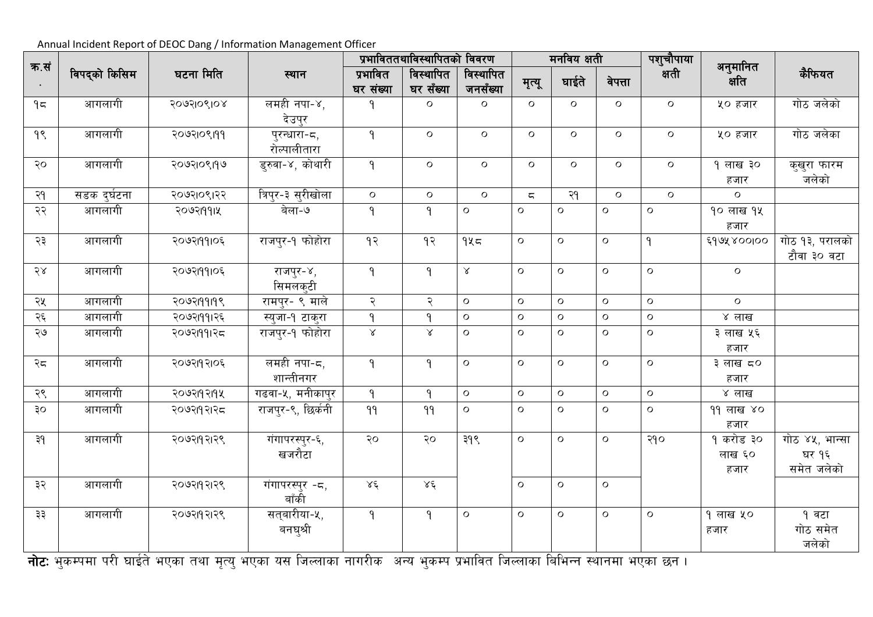| क.सं |               |            |                              |                       | प्रभाविततथाविस्थापितको विवरण |                       |                         | मनविय क्षती  |              | पशुचौपाया<br>क्षती |                             |                                       |
|------|---------------|------------|------------------------------|-----------------------|------------------------------|-----------------------|-------------------------|--------------|--------------|--------------------|-----------------------------|---------------------------------------|
|      | विपद्को किसिम | घटना मिति  | स्थान                        | प्रभावित<br>घर संख्या | विस्थापित<br>घर सँख्या       | विस्थापित<br>जनसँख्या | मृत्यू                  | घाईते        | वेपत्ता      |                    | अनुमानित<br>क्षति           | कैफियत                                |
| 95   | आगलागी        | २०७२१०९१०४ | लमही नपा-४,<br>देउपुर        | ۹                     | $\mathsf{o}$                 | $\mathsf{o}$          | $\mathsf{o}$            | $\circ$      | $\circ$      | $\mathsf{o}$       | ५० हजार                     | गोठ जलेको                             |
| 9    | आगलागी        | २०७२१०९१११ | पुरन्धारा-८,<br>रोल्पालीतारा | $\mathsf{P}$          | $\mathsf{o}$                 | $\circ$               | $\circ$                 | $\circ$      | $\mathsf{o}$ | $\mathsf{o}$       | ५० हजार                     | गोठ जलेका                             |
| २०   | आगलागी        | २०७२।०९।१७ | डुरुवा-४, कोथारी             | $\mathsf{P}$          | $\mathsf{o}$                 | $\circ$               | $\circ$                 | $\circ$      | $\circ$      | $\mathsf{o}$       | १ लाख ३०<br>हजार            | कुखुरा फारम<br>जलेको                  |
| २१   | सडक दुर्घटना  | २०७२१०९१२२ | त्रिपुर-३ सुरीखोला           | $\circ$               | $\mathsf{o}$                 | $\mathsf{o}$          | $\overline{\mathsf{C}}$ | २१           | $\mathsf{o}$ | $\circ$            | $\circ$                     |                                       |
| २२   | आगलागी        | २०७२११११५  | बेला-७                       | $\mathsf{P}$          | ٩                            | $\mathbf{o}$          | $\circ$                 | $\mathbf O$  | $\circ$      | $\circ$            | १० लाख १५<br>हजार           |                                       |
| २३   | आगलागी        | २०७२19१1०६ | राजपुर-१ फोहोरा              | 93                    | 9                            | 945                   | $\mathsf{o}$            | $\mathbf{o}$ | $\mathsf{o}$ | $\mathsf{P}$       | ६१७५४००१००                  | गोठ १३, परालको<br>टौवा ३० वटा         |
| 58   | आगलागी        | २०७२19१1०६ | राजपुर-४,<br>सिमलक्टी        | $\mathsf{P}$          | $\mathsf{P}$                 | $\propto$             | $\circ$                 | $\circ$      | $\mathbf O$  | $\circ$            | $\circ$                     |                                       |
| २५   | आगलागी        | २०७२19919९ | <u>रामपुर- ९ माले</u>        | २                     | २                            | $\mathsf{o}$          | $\circ$                 | $\circ$      | $\circ$      | $\circ$            | $\mathsf{o}$                |                                       |
| २६   | आगलागी        | २०७२।११।२६ | स्युजा-१ टाकुरा              | $\mathsf{P}$          | ٩                            | $\mathsf{o}$          | $\mathbf{o}$            | $\circ$      | $\circ$      | $\mathbf O$        | ४ लाख                       |                                       |
| ২७   | आगलागी        | २०७२।११।२८ | राजपुर-१ फोहोरा              | $\propto$             | $\propto$                    | $\circ$               | $\circ$                 | $\circ$      | $\circ$      | $\mathsf{o}$       | ३ लाख ५६<br>हजार            |                                       |
| २८   | आगलागी        | २०७२११२१०६ | लमही नपा-८,<br>शान्तीनगर     | $\mathsf{P}$          | ٩                            | $\mathsf{o}$          | $\mathsf{o}$            | $\circ$      | $\circ$      | $\mathsf{o}$       | ३ लाख ८०<br>हजार            |                                       |
| २९   | आगलागी        | २०७२19२19५ | गढवा-५, मनीकापुर             | $\mathsf{P}$          | $\mathsf{P}$                 | $\mathsf{o}$          | $\circ$                 | $\circ$      | $\circ$      | $\circ$            | ४ लाख                       |                                       |
| ३०   | आगलागी        | २०७२११२१२८ | राजपुर-९, छिर्कनी            | 99                    | 99                           | $\mathsf{o}$          | $\mathsf{o}$            | $\circ$      | $\circ$      | $\mathsf{o}$       | ११ लाख ४०<br>हजार           |                                       |
| ३१   | आगलागी        | २०७२११२१९  | गंगापरस्पुर-६,<br>खजरौटा     | २०                    | २०                           | ३१९                   | $\circ$                 | $\mathbf O$  | $\mathbf O$  | २१०                | १ करोड ३०<br>लाख ६०<br>हजार | गोठ ४५, भान्सा<br>घर १६<br>समेत जलेको |
| ३२   | आगलागी        | २०७२११२१९  | गंगापरस्पुर -८,<br>बाँकी     | $X\xi$                | $X\xi$                       |                       | $\circ$                 | O            | $\mathbf O$  |                    |                             |                                       |
| ३३   | आगलागी        | २०७२११२१९  | सत्बारीया-५,<br>बनघुश्री     | $\mathsf{P}$          | $\mathsf{P}$                 | $\mathsf{o}$          | $\circ$                 | $\mathbf O$  | $\mathbf O$  | $\mathbf O$        | १ लाख ५०<br>हजार            | १ वटा<br>गोठ समेत<br>जलेको            |

**नोट:** भुकम्पमा परी घाईते भएका तथा मृत्यु भएका यस जिल्लाका नागरीक अन्य भुकम्प प्रभावित जिल्लाका बिभिन्न स्थानमा भएका छन ।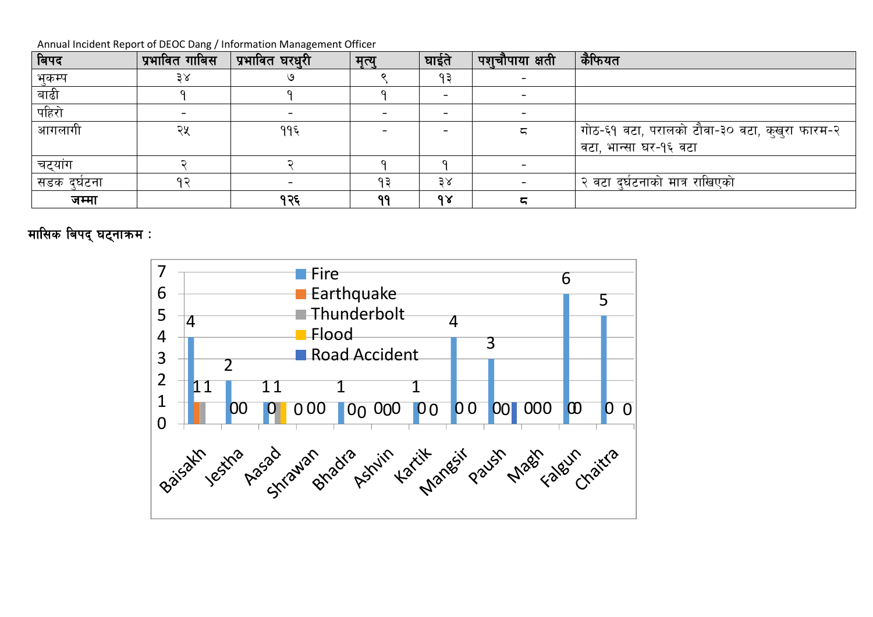| बिपद        | प्रभावित गाबिस | प्रभावित घरधुरी | मृत्यु | घाईते | ्पश् <b>चौपाया क्ष</b> ती | कैफियत                                        |
|-------------|----------------|-----------------|--------|-------|---------------------------|-----------------------------------------------|
| भकम्प       | 38             |                 |        | १३    |                           |                                               |
| बाढी        |                |                 |        |       |                           |                                               |
| पहिरो       |                |                 |        |       |                           |                                               |
| आगलागी      | २५             | ११६             |        |       |                           | गोठ-६१ वटा, परालको टौवा-३० वटा, कुखुरा फारम-२ |
|             |                |                 |        |       |                           | वटा, भान्सा घर-१६ वटा                         |
| चट्यांग     |                |                 |        |       |                           |                                               |
| सडक दर्घटना |                |                 | ٩₹     | 38    |                           | २ वटा दुर्घटनाको मात्र राखिएको                |
| जम्मा       |                | १२६             | 99     | 98    | 5                         |                                               |

**मासिक बिपद् घट्नाकम** :

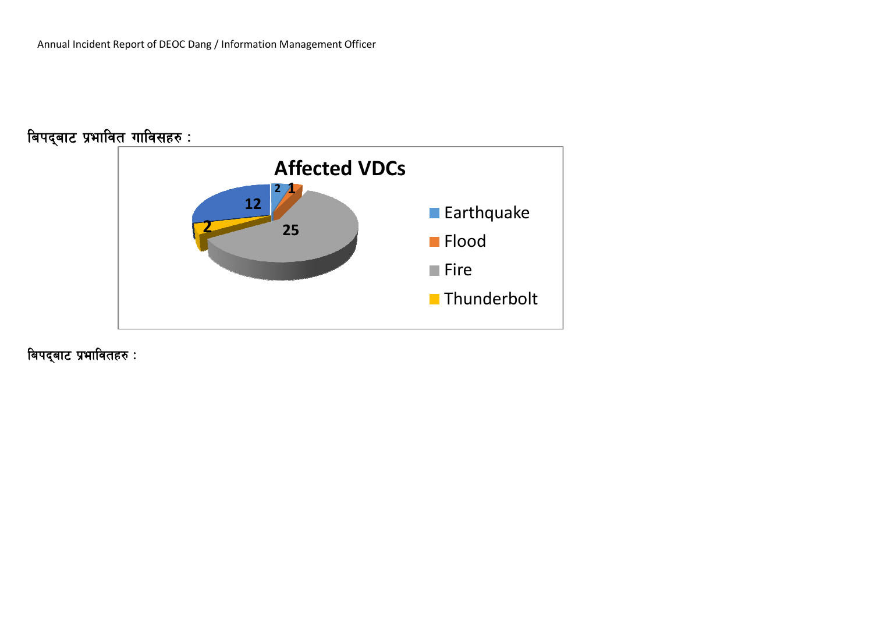

बिपद्बाट प्रभावितहरु <mark>:</mark>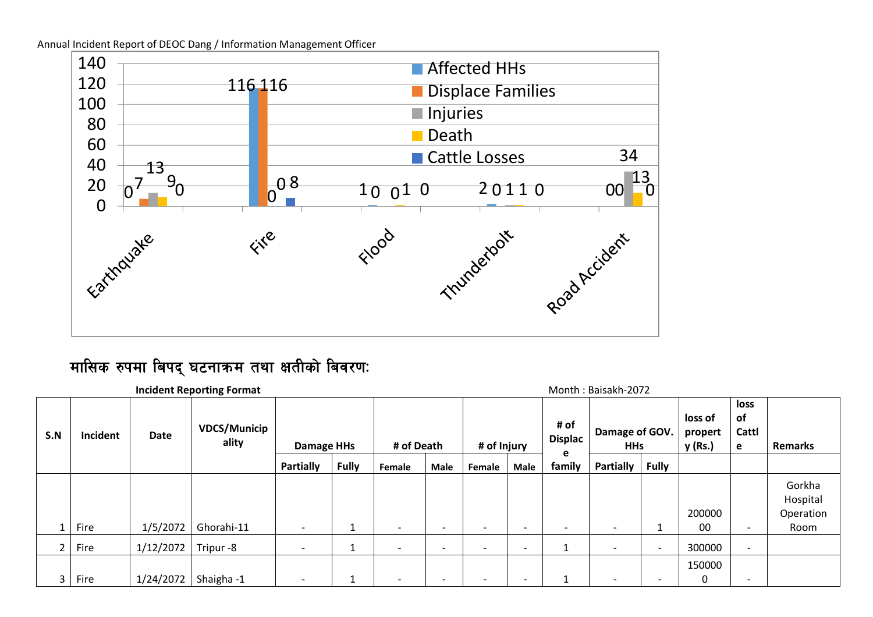Annual Incident Report of DEOC Dang / Information Management Officer



# मासिक रुपमा बिपद् घटनाकम तथा क्षतीको बिवरणः

|     |          |           | <b>Incident Reporting Format</b> |                          |              |                          |      |                          |                          |                             | Month: Baisakh-2072          |                          |                               |                          |                                 |
|-----|----------|-----------|----------------------------------|--------------------------|--------------|--------------------------|------|--------------------------|--------------------------|-----------------------------|------------------------------|--------------------------|-------------------------------|--------------------------|---------------------------------|
| S.N | Incident | Date      | <b>VDCS/Municip</b><br>ality     | <b>Damage HHs</b>        |              | # of Death               |      | # of Injury              |                          | # of<br><b>Displac</b><br>e | Damage of GOV.<br><b>HHs</b> |                          | loss of<br>propert<br>y (Rs.) | loss<br>of<br>Cattl<br>e | <b>Remarks</b>                  |
|     |          |           |                                  | Partially                | <b>Fully</b> | Female                   | Male | Female                   | Male                     | family                      | <b>Partially</b>             | <b>Fully</b>             |                               |                          |                                 |
|     |          |           |                                  |                          |              |                          |      |                          |                          |                             |                              |                          | 200000                        |                          | Gorkha<br>Hospital<br>Operation |
|     | Fire     | 1/5/2072  | Ghorahi-11                       | $\overline{\phantom{0}}$ |              |                          |      | $\overline{\phantom{0}}$ |                          |                             |                              |                          | $00\,$                        | $\overline{\phantom{0}}$ | Room                            |
|     | Fire     | 1/12/2072 | Tripur-8                         | $\overline{\phantom{a}}$ |              | $\overline{\phantom{0}}$ |      | $\overline{\phantom{0}}$ | $\overline{\phantom{0}}$ |                             | $\overline{\phantom{0}}$     | ٠                        | 300000                        | $\overline{\phantom{a}}$ |                                 |
| 3   | Fire     | 1/24/2072 | Shaigha-1                        | $\overline{\phantom{a}}$ |              | $\overline{\phantom{0}}$ | ۰    | $\overline{\phantom{0}}$ | $\overline{\phantom{0}}$ |                             | $\overline{\phantom{0}}$     | $\overline{\phantom{0}}$ | 150000                        | $\overline{\phantom{0}}$ |                                 |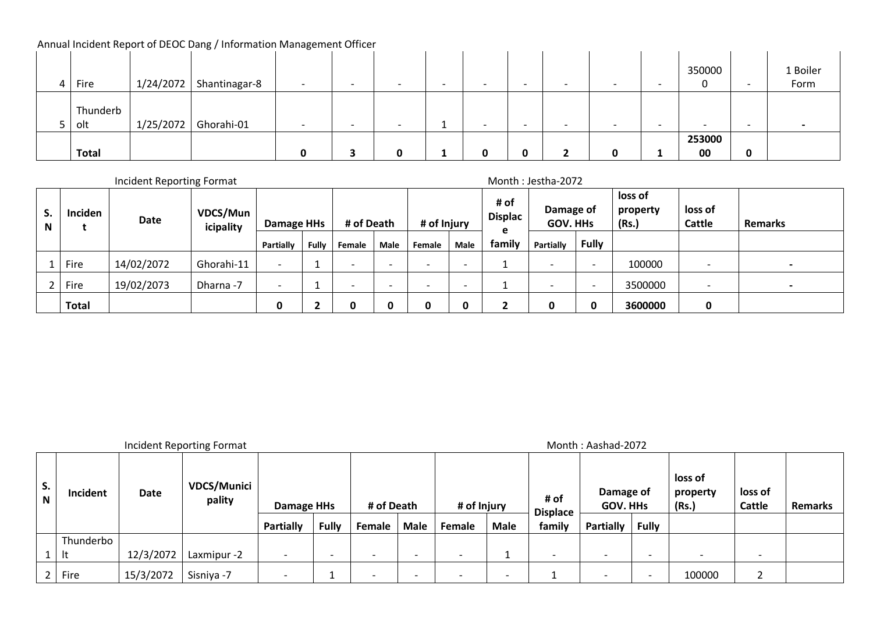|   |              |           | <b>Thingai melacht heport of DEOC Dang</b> / information management Omicer |                          |                          |   |                          |   |   |                          |        |                          |          |
|---|--------------|-----------|----------------------------------------------------------------------------|--------------------------|--------------------------|---|--------------------------|---|---|--------------------------|--------|--------------------------|----------|
|   |              |           |                                                                            |                          |                          |   |                          |   |   |                          |        |                          |          |
|   |              |           |                                                                            |                          |                          |   |                          |   |   |                          | 350000 |                          | 1 Boiler |
| 4 | ∣ Fire       | 1/24/2072 | Shantinagar-8                                                              | $\overline{\phantom{0}}$ | $\overline{\phantom{0}}$ |   | $\overline{\phantom{0}}$ |   |   |                          | ν      | $\overline{\phantom{0}}$ | Form     |
|   |              |           |                                                                            |                          |                          |   |                          |   |   |                          |        |                          |          |
|   | Thunderb     |           |                                                                            |                          |                          |   |                          |   |   |                          |        |                          |          |
|   | olt          | 1/25/2072 | Ghorahi-01                                                                 | -                        | -                        |   | $\overline{\phantom{0}}$ | - |   | $\overline{\phantom{0}}$ |        | $\overline{\phantom{a}}$ |          |
|   |              |           |                                                                            |                          |                          |   |                          |   |   |                          | 253000 |                          |          |
|   | <b>Total</b> |           |                                                                            |                          |                          | 0 | 0                        |   | Ω |                          | 00     | 0                        |          |

 $\mathcal{L}$ 

|                 |              | Incident Reporting Format |                       |                          |              |                          |      |                          |      |                        | Month: Jestha-2072           |              |                              |                          |                |
|-----------------|--------------|---------------------------|-----------------------|--------------------------|--------------|--------------------------|------|--------------------------|------|------------------------|------------------------------|--------------|------------------------------|--------------------------|----------------|
| $\epsilon$<br>N | Inciden      | Date                      | VDCS/Mun<br>icipality | <b>Damage HHs</b>        |              | # of Death               |      | # of Injury              |      | # of<br><b>Displac</b> | Damage of<br><b>GOV. HHS</b> |              | loss of<br>property<br>(Rs.) | loss of<br>Cattle        | <b>Remarks</b> |
|                 |              |                           |                       | Partially                | <b>Fully</b> | Female                   | Male | Female                   | Male | e<br>family            | Partially                    | <b>Fully</b> |                              |                          |                |
|                 | Fire         | 14/02/2072                | Ghorahi-11            | $\overline{\phantom{0}}$ |              | $\overline{\phantom{0}}$ | -    | $\overline{\phantom{0}}$ |      |                        |                              | <b>.</b>     | 100000                       | $\overline{\phantom{0}}$ |                |
|                 | Fire         | 19/02/2073                | Dharna -7             | $\overline{\phantom{0}}$ |              | $\overline{\phantom{0}}$ |      | $\overline{\phantom{0}}$ |      |                        |                              | -            | 3500000                      | $\overline{\phantom{0}}$ |                |
|                 | <b>Total</b> |                           |                       | 0                        |              | Π                        |      |                          |      |                        | Ω                            | Ω            | 3600000                      | 0                        |                |

Incident Reporting Format development of the state of the Month intervals and Month : Aashad-2072

| э.<br>N | Incident  | Date      | <b>VDCS/Munici</b><br>pality | <b>Damage HHs</b> |              | # of Death               |             | # of Injury |                          | # of<br><b>Displace</b> | Damage of<br><b>GOV. HHS</b> |              | loss of<br>property<br>(Rs.) | loss of<br>Cattle | <b>Remarks</b> |
|---------|-----------|-----------|------------------------------|-------------------|--------------|--------------------------|-------------|-------------|--------------------------|-------------------------|------------------------------|--------------|------------------------------|-------------------|----------------|
|         |           |           |                              | Partially         | <b>Fully</b> | Female                   | <b>Male</b> | Female      | <b>Male</b>              | family                  | <b>Partially</b>             | <b>Fully</b> |                              |                   |                |
|         | Thunderbo |           |                              |                   |              |                          |             |             |                          |                         |                              |              |                              |                   |                |
|         | It        | 12/3/2072 | Laxmipur -2                  |                   | -            | $\overline{\phantom{0}}$ |             |             |                          |                         | $\overline{\phantom{a}}$     |              | $\overline{\phantom{0}}$     |                   |                |
|         | Fire      | 15/3/2072 | Sisniya -7                   |                   |              |                          |             |             | $\overline{\phantom{0}}$ |                         | $\overline{\phantom{a}}$     |              | 100000                       |                   |                |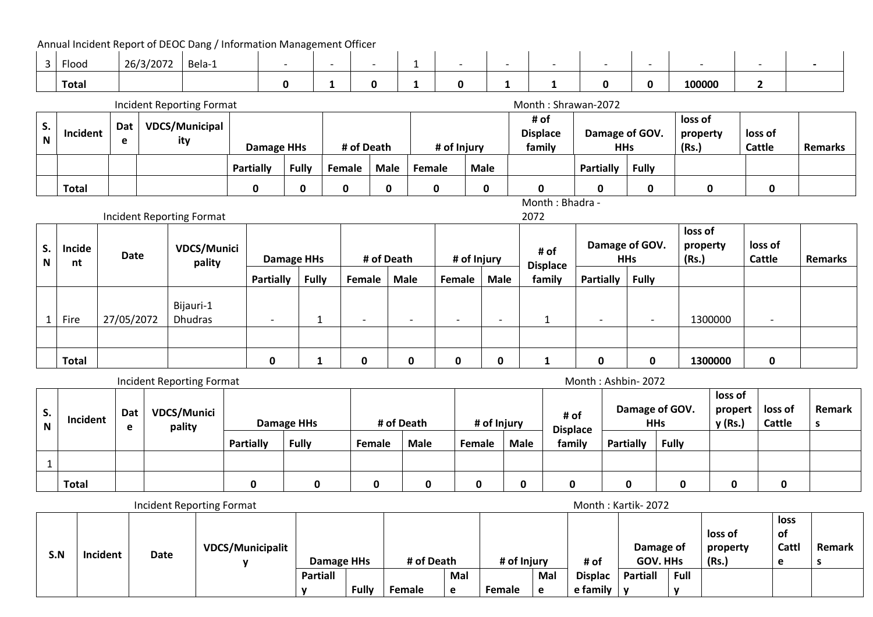Annual Incident Report of DEOC Dang / Information Management Officer

| Floog | 20/2022<br>26/3/2072 | Bela-1 |  |  |  |  |        |  |
|-------|----------------------|--------|--|--|--|--|--------|--|
| Total |                      |        |  |  |  |  | 100000 |  |

|    |              |                 | Incident Reporting Format    |                   |              |               |      |             |             | Month: Shrawan-2072               |                              |              |                              |                          |                |
|----|--------------|-----------------|------------------------------|-------------------|--------------|---------------|------|-------------|-------------|-----------------------------------|------------------------------|--------------|------------------------------|--------------------------|----------------|
| S. | Incident     | <b>Dat</b><br>е | <b>VDCS/Municipal</b><br>ity | <b>Damage HHs</b> |              | # of Death    |      | # of Injury |             | # of<br><b>Displace</b><br>family | Damage of GOV.<br><b>HHs</b> |              | loss of<br>property<br>(Rs.) | loss of<br><b>Cattle</b> | <b>Remarks</b> |
|    |              |                 |                              | Partially         | <b>Fully</b> | <b>Female</b> | Male | Female      | <b>Male</b> |                                   | <b>Partially</b>             | <b>Fully</b> |                              |                          |                |
|    | <b>Total</b> |                 |                              |                   | 0            |               | 0    | 0           |             |                                   | 0                            |              |                              | 0                        |                |

Month : Bhadra -  $2072$ 

|         |              | <b>Incident Reporting Format</b> |                              |                          |  |                          |                          |                          |                          | 2072                    |                          |                          |                              |                          |                |
|---------|--------------|----------------------------------|------------------------------|--------------------------|--|--------------------------|--------------------------|--------------------------|--------------------------|-------------------------|--------------------------|--------------------------|------------------------------|--------------------------|----------------|
| S.<br>N | Incide<br>nt | <b>Date</b>                      | <b>VDCS/Munici</b><br>pality | <b>Damage HHs</b>        |  |                          | # of Death               | # of Injury              |                          | # of<br><b>Displace</b> | Damage of GOV.           | <b>HHs</b>               | loss of<br>property<br>(Rs.) | loss of<br><b>Cattle</b> | <b>Remarks</b> |
|         |              | <b>Fully</b><br><b>Partially</b> |                              |                          |  | Female                   | <b>Male</b>              | Female                   | <b>Male</b>              | family                  | <b>Partially</b>         | <b>Fully</b>             |                              |                          |                |
|         | Fire         | 27/05/2072                       | Bijauri-1<br><b>Dhudras</b>  | $\overline{\phantom{0}}$ |  | $\overline{\phantom{0}}$ | $\overline{\phantom{0}}$ | $\overline{\phantom{0}}$ | $\overline{\phantom{a}}$ | <u>д.</u>               | $\overline{\phantom{0}}$ | $\overline{\phantom{0}}$ | 1300000                      | $\overline{\phantom{a}}$ |                |
|         |              |                                  |                              |                          |  |                          |                          |                          |                          |                         |                          |                          |                              |                          |                |
|         | <b>Total</b> |                                  |                              | Ω                        |  | 0                        | 0                        | 0                        | 0                        |                         | 0                        | 0                        | 1300000                      | 0                        |                |

|         |              |          | Incident Reporting Format    |           |              |        |             |             |             |                         | Month: Ashbin-2072 |                              |                               |                   |               |
|---------|--------------|----------|------------------------------|-----------|--------------|--------|-------------|-------------|-------------|-------------------------|--------------------|------------------------------|-------------------------------|-------------------|---------------|
| э.<br>N | Incident     | Dat<br>е | <b>VDCS/Munici</b><br>pality |           | Damage HHs   |        | # of Death  | # of Injury |             | # of<br><b>Displace</b> |                    | Damage of GOV.<br><b>HHs</b> | loss of<br>propert<br>y (Rs.) | loss of<br>Cattle | <b>Remark</b> |
|         |              |          |                              | Partially | <b>Fully</b> | Female | <b>Male</b> | Female      | <b>Male</b> | family                  | <b>Partially</b>   | Fully                        |                               |                   |               |
|         |              |          |                              |           |              |        |             |             |             |                         |                    |                              |                               |                   |               |
|         | <b>Total</b> |          |                              |           |              |        |             |             | 0           |                         | 0                  |                              |                               | 0                 |               |

|     |          |      | Incident Reporting Format |                 |              |            |     |             |     |                | Month: Kartik-2072           |              |                              |                            |               |
|-----|----------|------|---------------------------|-----------------|--------------|------------|-----|-------------|-----|----------------|------------------------------|--------------|------------------------------|----------------------------|---------------|
| S.N | Incident | Date | <b>VDCS/Municipalit</b>   | Damage HHs      |              | # of Death |     | # of Injury |     | # of           | Damage of<br><b>GOV. HHs</b> |              | loss of<br>property<br>(Rs.) | <b>loss</b><br>of<br>Cattl | <b>Remark</b> |
|     |          |      |                           | <b>Partiall</b> |              |            | Mal |             | Mal | <b>Displac</b> | <b>Partiall</b>              | Full         |                              |                            |               |
|     |          |      |                           |                 | <b>Fully</b> | Female     | e   | Female      | e   | e family       |                              | $\mathbf{v}$ |                              |                            |               |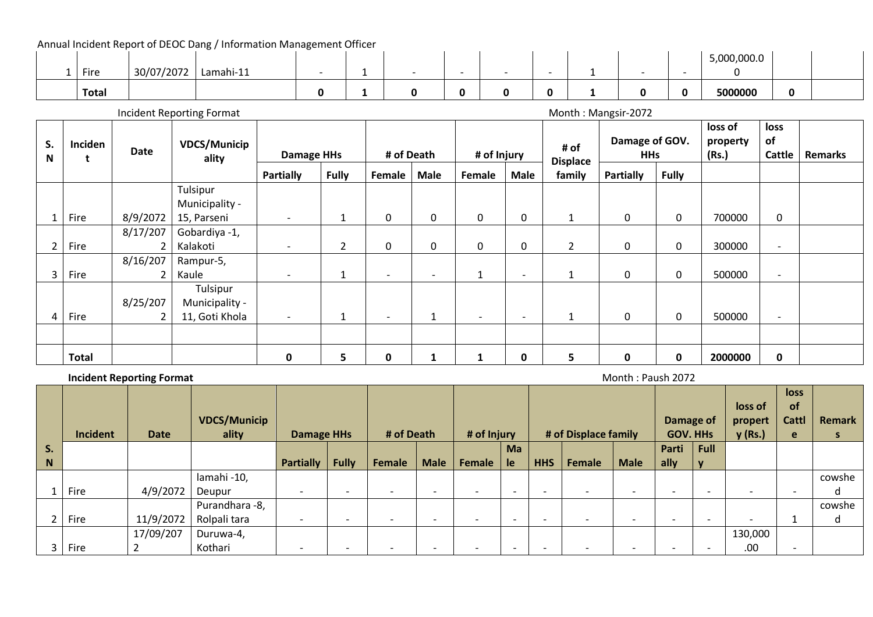|              |            |           |  |  |                          |   |  | 5,000,000.0 |   |  |
|--------------|------------|-----------|--|--|--------------------------|---|--|-------------|---|--|
| Fire         | 30/07/2072 | Lamahi-11 |  |  | $\overline{\phantom{0}}$ |   |  |             |   |  |
| <b>Total</b> |            |           |  |  |                          | n |  | 5000000     | 0 |  |

Incident Reporting Format development of the state of the Month incident Reporting Format Month : Mangsir-2072

| S.<br>N | Inciden      | Date     | <b>VDCS/Municip</b><br>ality | Damage HHs               |                | # of Death               |                          | # of Injury              |                          | # of                      | Damage of GOV.<br><b>HHs</b> |              | loss of<br>property<br>(Rs.) | loss<br>of<br>Cattle     | <b>Remarks</b> |
|---------|--------------|----------|------------------------------|--------------------------|----------------|--------------------------|--------------------------|--------------------------|--------------------------|---------------------------|------------------------------|--------------|------------------------------|--------------------------|----------------|
|         |              |          |                              | <b>Partially</b>         | <b>Fully</b>   | Female                   | <b>Male</b>              | Female                   | <b>Male</b>              | <b>Displace</b><br>family | <b>Partially</b>             | <b>Fully</b> |                              |                          |                |
|         |              |          | Tulsipur                     |                          |                |                          |                          |                          |                          |                           |                              |              |                              |                          |                |
|         |              |          | Municipality -               |                          |                |                          |                          |                          |                          |                           |                              |              |                              |                          |                |
|         | Fire         | 8/9/2072 | 15, Parseni                  | $\overline{\phantom{a}}$ | 1              | 0                        | 0                        | $\mathbf 0$              | $\mathbf 0$              | $\mathbf{1}$              | $\mathbf 0$                  | 0            | 700000                       | 0                        |                |
|         |              | 8/17/207 | Gobardiya -1,                |                          |                |                          |                          |                          |                          |                           |                              |              |                              |                          |                |
|         | Fire         |          | Kalakoti                     | $\overline{\phantom{a}}$ | $\overline{2}$ | 0                        | $\mathbf 0$              | 0                        | 0                        | $\overline{2}$            | 0                            | 0            | 300000                       | $\overline{\phantom{a}}$ |                |
|         |              | 8/16/207 | Rampur-5,                    |                          |                |                          |                          |                          |                          |                           |                              |              |                              |                          |                |
|         | Fire         |          | Kaule                        |                          | 1              | $\overline{\phantom{a}}$ | $\overline{\phantom{a}}$ | 1                        | $\overline{\phantom{a}}$ | $\mathbf{1}$              | 0                            | 0            | 500000                       | $\overline{\phantom{a}}$ |                |
|         |              |          | Tulsipur                     |                          |                |                          |                          |                          |                          |                           |                              |              |                              |                          |                |
|         |              | 8/25/207 | Municipality -               |                          |                |                          |                          |                          |                          |                           |                              |              |                              |                          |                |
| 4       | Fire         |          | 11, Goti Khola               | $\overline{\phantom{a}}$ | 1              | $\overline{\phantom{a}}$ |                          | $\overline{\phantom{a}}$ | $\overline{\phantom{0}}$ | $\mathbf{1}$              | 0                            | 0            | 500000                       | $\overline{\phantom{a}}$ |                |
|         |              |          |                              |                          |                |                          |                          |                          |                          |                           |                              |              |                              |                          |                |
|         | <b>Total</b> |          |                              | 0                        | 5.             | 0                        |                          |                          | 0                        | 5                         | $\mathbf 0$                  | 0            | 2000000                      | $\mathbf{0}$             |                |

**Incident Reporting Format** Month : Paush 2072

|    | <b>Incident</b> | <b>Date</b> | <b>VDCS/Municip</b><br>ality | <b>Damage HHs</b>        |                          | # of Death               |                          | # of Injury |                          |            | # of Displace family |                          | Damage of<br><b>GOV. HHs</b> |             | loss of<br>propert<br>y (Rs.) | loss<br><b>of</b><br>Cattl<br>e | <b>Remark</b><br>s |
|----|-----------------|-------------|------------------------------|--------------------------|--------------------------|--------------------------|--------------------------|-------------|--------------------------|------------|----------------------|--------------------------|------------------------------|-------------|-------------------------------|---------------------------------|--------------------|
| S. |                 |             |                              |                          |                          |                          |                          |             | Ma                       |            |                      |                          | Parti                        | <b>Full</b> |                               |                                 |                    |
| N  |                 |             |                              | <b>Partially</b>         | <b>Fully</b>             | Female                   | <b>Male</b>              | Female      | le                       | <b>HHS</b> | Female               | <b>Male</b>              | ally                         | $\mathbf v$ |                               |                                 |                    |
|    |                 |             | lamahi-10,                   |                          |                          |                          |                          |             |                          |            |                      |                          |                              |             |                               |                                 | cowshe             |
|    | Fire            | 4/9/2072    | Deupur                       | $\overline{\phantom{0}}$ | $\overline{\phantom{0}}$ | $\overline{\phantom{0}}$ | $\overline{\phantom{0}}$ |             | $\overline{\phantom{0}}$ |            |                      | $\overline{\phantom{0}}$ | $\overline{\phantom{0}}$     |             |                               | $\overline{\phantom{0}}$        | d                  |
|    |                 |             | Purandhara -8,               |                          |                          |                          |                          |             |                          |            |                      |                          |                              |             |                               |                                 | cowshe             |
|    | Fire            | 11/9/2072   | Rolpali tara                 |                          | $\overline{\phantom{0}}$ | $\overline{\phantom{0}}$ | $\overline{\phantom{0}}$ |             |                          |            |                      |                          | $\overline{\phantom{0}}$     |             | $\overline{\phantom{a}}$      |                                 | d                  |
|    |                 | 17/09/207   | Duruwa-4,                    |                          |                          |                          |                          |             |                          |            |                      |                          |                              |             | 130,000                       |                                 |                    |
|    | Fire            |             | Kothari                      |                          |                          |                          |                          |             |                          |            |                      |                          |                              |             | .00                           | $\overline{\phantom{0}}$        |                    |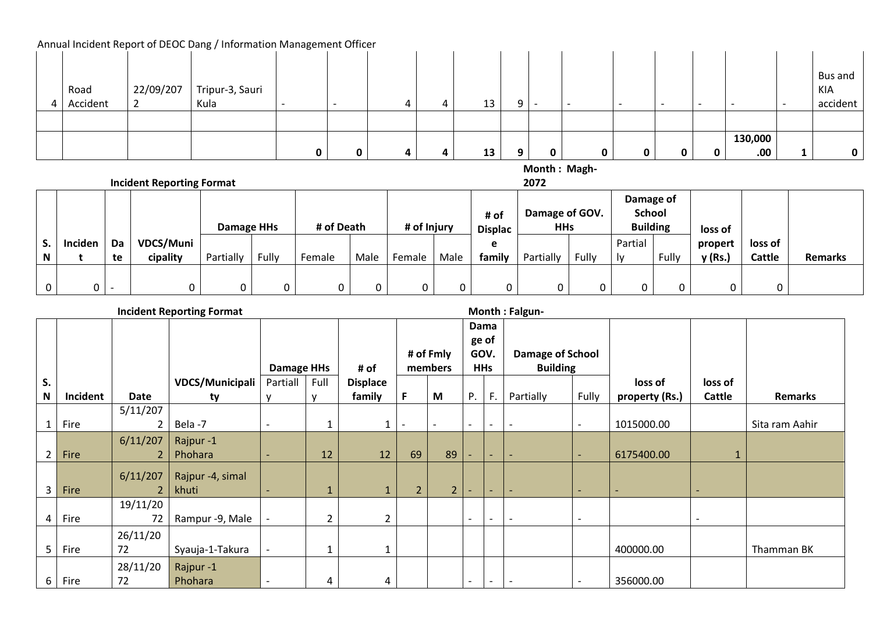|          |           |                 |  |  |    |   |   |                          |                          |              |         | Bus and  |
|----------|-----------|-----------------|--|--|----|---|---|--------------------------|--------------------------|--------------|---------|----------|
| Road     | 22/09/207 | Tripur-3, Sauri |  |  |    |   |   |                          |                          |              |         | KIA      |
| Accident |           | Kula            |  |  | 13 | Q |   | $\overline{\phantom{0}}$ | $\overline{\phantom{0}}$ |              |         | accident |
|          |           |                 |  |  |    |   |   |                          |                          |              |         |          |
|          |           |                 |  |  |    |   |   |                          |                          |              |         |          |
|          |           |                 |  |  |    |   |   |                          |                          |              | 130,000 |          |
|          |           |                 |  |  | 13 | q | 0 |                          | 0                        | <sup>0</sup> | .00.    |          |

**Month : Magh-**

**Incident Reporting Format** 

**2072**

|    |         |                          |           |                   |       |            |      |             |      | # of           | Damage of GOV. |       | Damage of<br><b>School</b> |       |         |         |                |
|----|---------|--------------------------|-----------|-------------------|-------|------------|------|-------------|------|----------------|----------------|-------|----------------------------|-------|---------|---------|----------------|
|    |         |                          |           | <b>Damage HHs</b> |       | # of Death |      | # of Injury |      | <b>Displac</b> | <b>HHs</b>     |       | <b>Building</b>            |       | loss of |         |                |
| ъ. | Inciden | Da                       | VDCS/Muni |                   |       |            |      |             |      | е              |                |       | Partial                    |       | propert | loss of |                |
| N  |         | te                       | cipality  | Partially         | Fully | Female     | Male | Female      | Male | family         | Partially      | Fully | ١v                         | Fully | v (Rs.) | Cattle  | <b>Remarks</b> |
|    |         |                          |           |                   |       |            |      |             |      |                |                |       |                            |       |         |         |                |
| 0  |         | $\overline{\phantom{0}}$ |           |                   |       |            |      |             |      |                |                | 0     |                            |       |         |         |                |

**Incident Reporting Format Community Community Community Community Community Community Community Community Community Community Community Community Community Community Community Community Community Community Community Commu** 

|                |          |          |                  |                          |                |                 |                |                          |                          | Dama                     |                          |                          |                          |         |                |
|----------------|----------|----------|------------------|--------------------------|----------------|-----------------|----------------|--------------------------|--------------------------|--------------------------|--------------------------|--------------------------|--------------------------|---------|----------------|
|                |          |          |                  |                          |                |                 |                |                          | ge of                    |                          |                          |                          |                          |         |                |
|                |          |          |                  |                          |                |                 |                | # of Fmly                | GOV.                     |                          | <b>Damage of School</b>  |                          |                          |         |                |
|                |          |          |                  | <b>Damage HHs</b>        |                | # of            |                | members                  |                          | <b>HHs</b>               | <b>Building</b>          |                          |                          |         |                |
| S.             |          |          | VDCS/Municipali  | Partiall                 | Full           | <b>Displace</b> |                |                          |                          |                          |                          |                          | loss of                  | loss of |                |
| ${\bf N}$      | Incident | Date     | ty               |                          | $\mathbf{v}$   | family          | F.             | M                        | $P_{\cdot}$              | $F_{\rm{H}}$             | Partially                | Fully                    | property (Rs.)           | Cattle  | Remarks        |
|                |          | 5/11/207 |                  |                          |                |                 |                |                          |                          |                          |                          |                          |                          |         |                |
|                | Fire     |          | Bela-7           | $\overline{\phantom{a}}$ | 1              |                 |                | $\overline{\phantom{a}}$ | $\overline{\phantom{a}}$ | $\overline{\phantom{a}}$ | $\overline{\phantom{a}}$ | $\overline{\phantom{a}}$ | 1015000.00               |         | Sita ram Aahir |
|                |          | 6/11/207 | Rajpur-1         |                          |                |                 |                |                          |                          |                          |                          |                          |                          |         |                |
| $\overline{2}$ | Fire     |          | Phohara          |                          | 12             | 12              | 69             | 89                       |                          | $\overline{\phantom{0}}$ | $\overline{\phantom{a}}$ |                          | 6175400.00               |         |                |
|                |          | 6/11/207 | Rajpur -4, simal |                          |                |                 |                |                          |                          |                          |                          |                          |                          |         |                |
| 3              | Fire     |          | khuti            | $\blacksquare$           |                |                 | 2 <sup>1</sup> | 2 <sup>1</sup>           | $\overline{\phantom{0}}$ | $\overline{\phantom{0}}$ | $\overline{\phantom{a}}$ | $\overline{\phantom{a}}$ | $\overline{\phantom{0}}$ |         |                |
|                |          | 19/11/20 |                  |                          |                |                 |                |                          |                          |                          |                          |                          |                          |         |                |
| 4              | Fire     | 72       | Rampur -9, Male  | $\overline{\phantom{a}}$ | $\overline{2}$ | 2               |                |                          | $\overline{\phantom{a}}$ | $\overline{\phantom{a}}$ | $\overline{\phantom{a}}$ | $\overline{\phantom{a}}$ |                          |         |                |
|                |          | 26/11/20 |                  |                          |                |                 |                |                          |                          |                          |                          |                          |                          |         |                |
| 5              | Fire     | 72       | Syauja-1-Takura  | $\blacksquare$           | 1              |                 |                |                          |                          |                          |                          |                          | 400000.00                |         | Thamman BK     |
|                |          | 28/11/20 | Rajpur-1         |                          |                |                 |                |                          |                          |                          |                          |                          |                          |         |                |
| 6              | Fire     | 72       | Phohara          |                          | 4              | 4               |                |                          |                          | $\overline{\phantom{a}}$ | $\overline{\phantom{a}}$ |                          | 356000.00                |         |                |